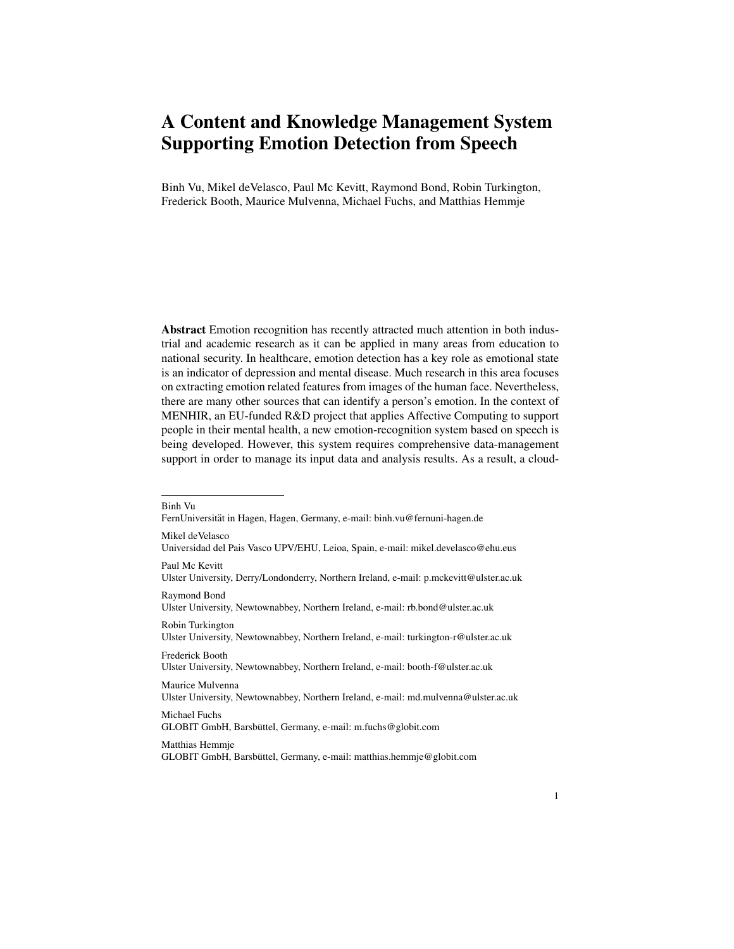# A Content and Knowledge Management System Supporting Emotion Detection from Speech

Binh Vu, Mikel deVelasco, Paul Mc Kevitt, Raymond Bond, Robin Turkington, Frederick Booth, Maurice Mulvenna, Michael Fuchs, and Matthias Hemmje

Abstract Emotion recognition has recently attracted much attention in both industrial and academic research as it can be applied in many areas from education to national security. In healthcare, emotion detection has a key role as emotional state is an indicator of depression and mental disease. Much research in this area focuses on extracting emotion related features from images of the human face. Nevertheless, there are many other sources that can identify a person's emotion. In the context of MENHIR, an EU-funded R&D project that applies Affective Computing to support people in their mental health, a new emotion-recognition system based on speech is being developed. However, this system requires comprehensive data-management support in order to manage its input data and analysis results. As a result, a cloud-

Mikel deVelasco Universidad del Pais Vasco UPV/EHU, Leioa, Spain, e-mail: mikel.develasco@ehu.eus

Paul Mc Kevitt

Ulster University, Derry/Londonderry, Northern Ireland, e-mail: p.mckevitt@ulster.ac.uk Raymond Bond

Ulster University, Newtownabbey, Northern Ireland, e-mail: rb.bond@ulster.ac.uk

Robin Turkington Ulster University, Newtownabbey, Northern Ireland, e-mail: turkington-r@ulster.ac.uk

Frederick Booth Ulster University, Newtownabbey, Northern Ireland, e-mail: booth-f@ulster.ac.uk

#### Maurice Mulvenna

Ulster University, Newtownabbey, Northern Ireland, e-mail: md.mulvenna@ulster.ac.uk

Michael Fuchs GLOBIT GmbH, Barsbüttel, Germany, e-mail: m.fuchs@globit.com

Matthias Hemmje

GLOBIT GmbH, Barsbüttel, Germany, e-mail: matthias.hemmje@globit.com

Binh Vu

FernUniversitat in Hagen, Hagen, Germany, e-mail: binh.vu@fernuni-hagen.de ¨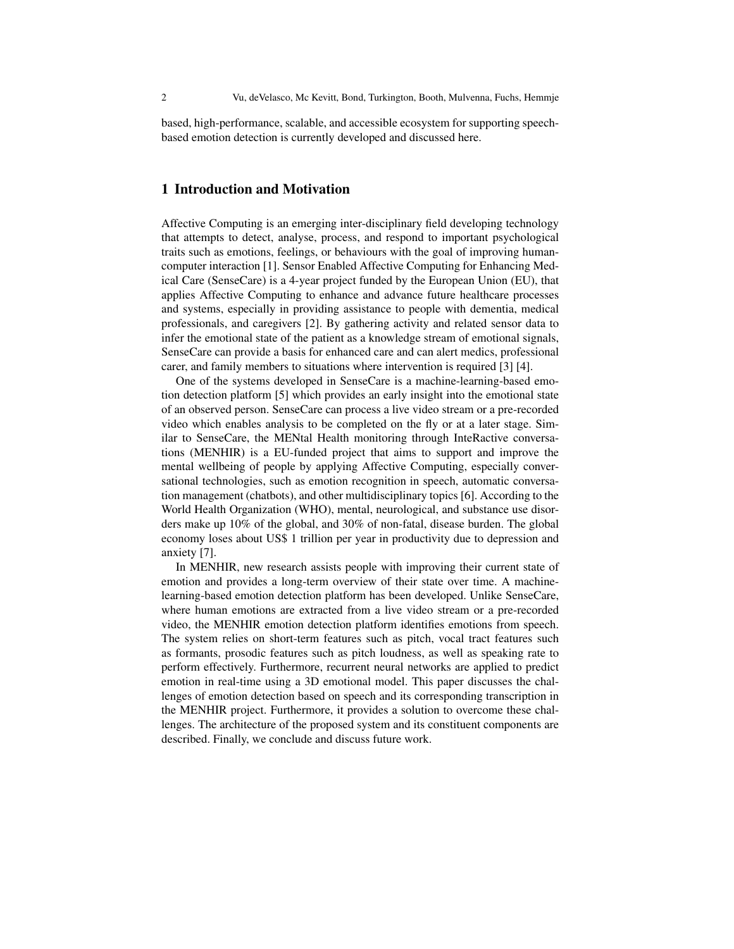based, high-performance, scalable, and accessible ecosystem for supporting speechbased emotion detection is currently developed and discussed here.

### 1 Introduction and Motivation

Affective Computing is an emerging inter-disciplinary field developing technology that attempts to detect, analyse, process, and respond to important psychological traits such as emotions, feelings, or behaviours with the goal of improving humancomputer interaction [1]. Sensor Enabled Affective Computing for Enhancing Medical Care (SenseCare) is a 4-year project funded by the European Union (EU), that applies Affective Computing to enhance and advance future healthcare processes and systems, especially in providing assistance to people with dementia, medical professionals, and caregivers [2]. By gathering activity and related sensor data to infer the emotional state of the patient as a knowledge stream of emotional signals, SenseCare can provide a basis for enhanced care and can alert medics, professional carer, and family members to situations where intervention is required [3] [4].

One of the systems developed in SenseCare is a machine-learning-based emotion detection platform [5] which provides an early insight into the emotional state of an observed person. SenseCare can process a live video stream or a pre-recorded video which enables analysis to be completed on the fly or at a later stage. Similar to SenseCare, the MENtal Health monitoring through InteRactive conversations (MENHIR) is a EU-funded project that aims to support and improve the mental wellbeing of people by applying Affective Computing, especially conversational technologies, such as emotion recognition in speech, automatic conversation management (chatbots), and other multidisciplinary topics [6]. According to the World Health Organization (WHO), mental, neurological, and substance use disorders make up 10% of the global, and 30% of non-fatal, disease burden. The global economy loses about US\$ 1 trillion per year in productivity due to depression and anxiety [7].

In MENHIR, new research assists people with improving their current state of emotion and provides a long-term overview of their state over time. A machinelearning-based emotion detection platform has been developed. Unlike SenseCare, where human emotions are extracted from a live video stream or a pre-recorded video, the MENHIR emotion detection platform identifies emotions from speech. The system relies on short-term features such as pitch, vocal tract features such as formants, prosodic features such as pitch loudness, as well as speaking rate to perform effectively. Furthermore, recurrent neural networks are applied to predict emotion in real-time using a 3D emotional model. This paper discusses the challenges of emotion detection based on speech and its corresponding transcription in the MENHIR project. Furthermore, it provides a solution to overcome these challenges. The architecture of the proposed system and its constituent components are described. Finally, we conclude and discuss future work.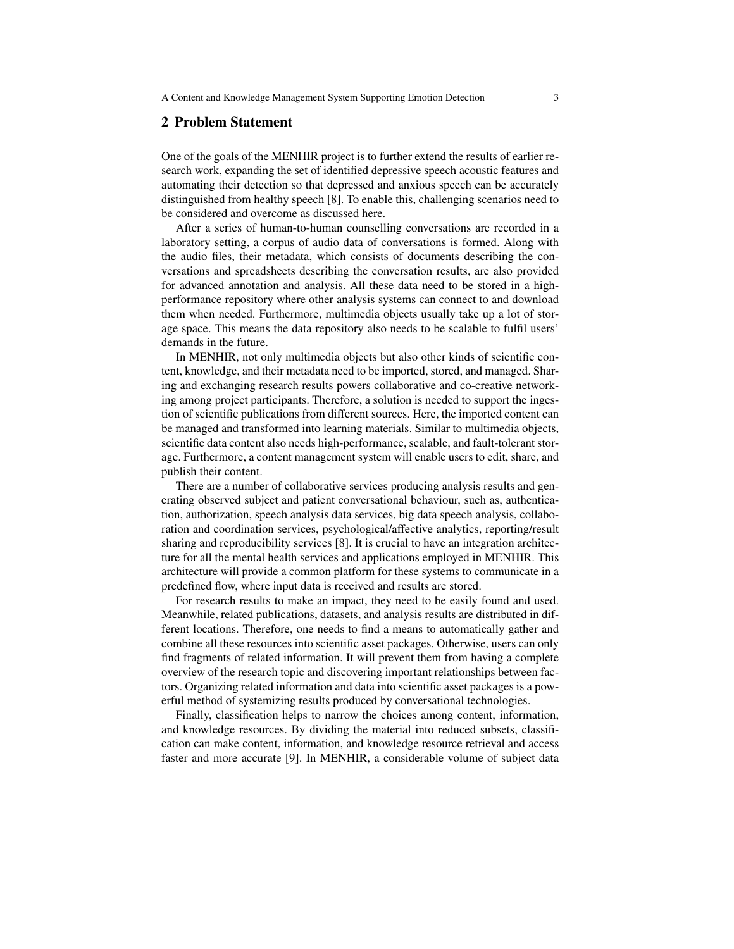#### 2 Problem Statement

One of the goals of the MENHIR project is to further extend the results of earlier research work, expanding the set of identified depressive speech acoustic features and automating their detection so that depressed and anxious speech can be accurately distinguished from healthy speech [8]. To enable this, challenging scenarios need to be considered and overcome as discussed here.

After a series of human-to-human counselling conversations are recorded in a laboratory setting, a corpus of audio data of conversations is formed. Along with the audio files, their metadata, which consists of documents describing the conversations and spreadsheets describing the conversation results, are also provided for advanced annotation and analysis. All these data need to be stored in a highperformance repository where other analysis systems can connect to and download them when needed. Furthermore, multimedia objects usually take up a lot of storage space. This means the data repository also needs to be scalable to fulfil users' demands in the future.

In MENHIR, not only multimedia objects but also other kinds of scientific content, knowledge, and their metadata need to be imported, stored, and managed. Sharing and exchanging research results powers collaborative and co-creative networking among project participants. Therefore, a solution is needed to support the ingestion of scientific publications from different sources. Here, the imported content can be managed and transformed into learning materials. Similar to multimedia objects, scientific data content also needs high-performance, scalable, and fault-tolerant storage. Furthermore, a content management system will enable users to edit, share, and publish their content.

There are a number of collaborative services producing analysis results and generating observed subject and patient conversational behaviour, such as, authentication, authorization, speech analysis data services, big data speech analysis, collaboration and coordination services, psychological/affective analytics, reporting/result sharing and reproducibility services [8]. It is crucial to have an integration architecture for all the mental health services and applications employed in MENHIR. This architecture will provide a common platform for these systems to communicate in a predefined flow, where input data is received and results are stored.

For research results to make an impact, they need to be easily found and used. Meanwhile, related publications, datasets, and analysis results are distributed in different locations. Therefore, one needs to find a means to automatically gather and combine all these resources into scientific asset packages. Otherwise, users can only find fragments of related information. It will prevent them from having a complete overview of the research topic and discovering important relationships between factors. Organizing related information and data into scientific asset packages is a powerful method of systemizing results produced by conversational technologies.

Finally, classification helps to narrow the choices among content, information, and knowledge resources. By dividing the material into reduced subsets, classification can make content, information, and knowledge resource retrieval and access faster and more accurate [9]. In MENHIR, a considerable volume of subject data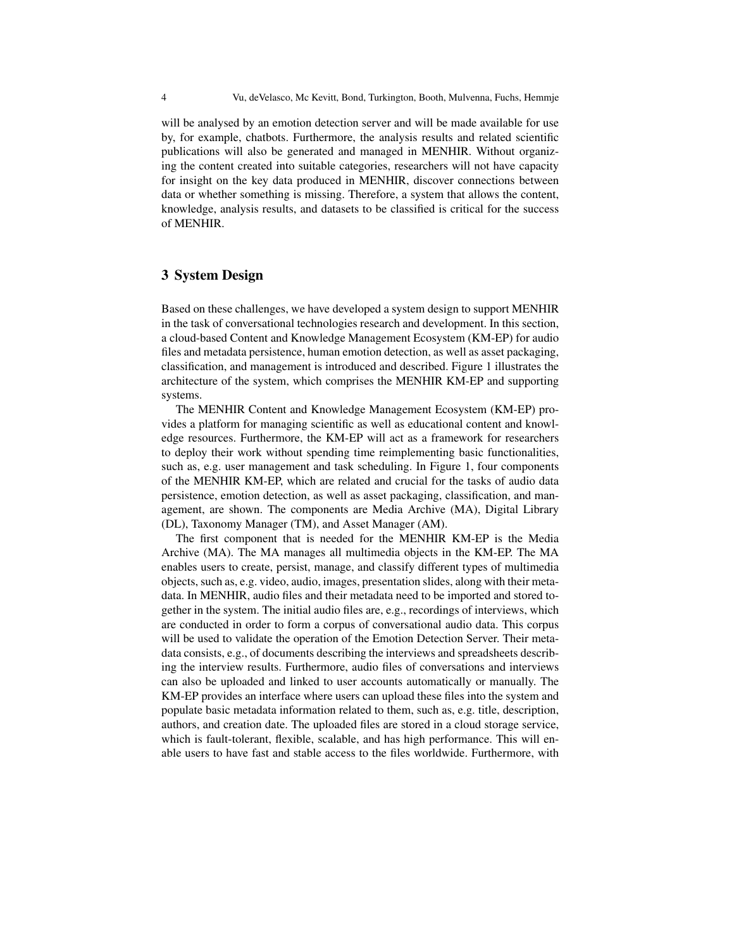will be analysed by an emotion detection server and will be made available for use by, for example, chatbots. Furthermore, the analysis results and related scientific publications will also be generated and managed in MENHIR. Without organizing the content created into suitable categories, researchers will not have capacity for insight on the key data produced in MENHIR, discover connections between data or whether something is missing. Therefore, a system that allows the content, knowledge, analysis results, and datasets to be classified is critical for the success of MENHIR.

## 3 System Design

Based on these challenges, we have developed a system design to support MENHIR in the task of conversational technologies research and development. In this section, a cloud-based Content and Knowledge Management Ecosystem (KM-EP) for audio files and metadata persistence, human emotion detection, as well as asset packaging, classification, and management is introduced and described. Figure 1 illustrates the architecture of the system, which comprises the MENHIR KM-EP and supporting systems.

The MENHIR Content and Knowledge Management Ecosystem (KM-EP) provides a platform for managing scientific as well as educational content and knowledge resources. Furthermore, the KM-EP will act as a framework for researchers to deploy their work without spending time reimplementing basic functionalities, such as, e.g. user management and task scheduling. In Figure 1, four components of the MENHIR KM-EP, which are related and crucial for the tasks of audio data persistence, emotion detection, as well as asset packaging, classification, and management, are shown. The components are Media Archive (MA), Digital Library (DL), Taxonomy Manager (TM), and Asset Manager (AM).

The first component that is needed for the MENHIR KM-EP is the Media Archive (MA). The MA manages all multimedia objects in the KM-EP. The MA enables users to create, persist, manage, and classify different types of multimedia objects, such as, e.g. video, audio, images, presentation slides, along with their metadata. In MENHIR, audio files and their metadata need to be imported and stored together in the system. The initial audio files are, e.g., recordings of interviews, which are conducted in order to form a corpus of conversational audio data. This corpus will be used to validate the operation of the Emotion Detection Server. Their metadata consists, e.g., of documents describing the interviews and spreadsheets describing the interview results. Furthermore, audio files of conversations and interviews can also be uploaded and linked to user accounts automatically or manually. The KM-EP provides an interface where users can upload these files into the system and populate basic metadata information related to them, such as, e.g. title, description, authors, and creation date. The uploaded files are stored in a cloud storage service, which is fault-tolerant, flexible, scalable, and has high performance. This will enable users to have fast and stable access to the files worldwide. Furthermore, with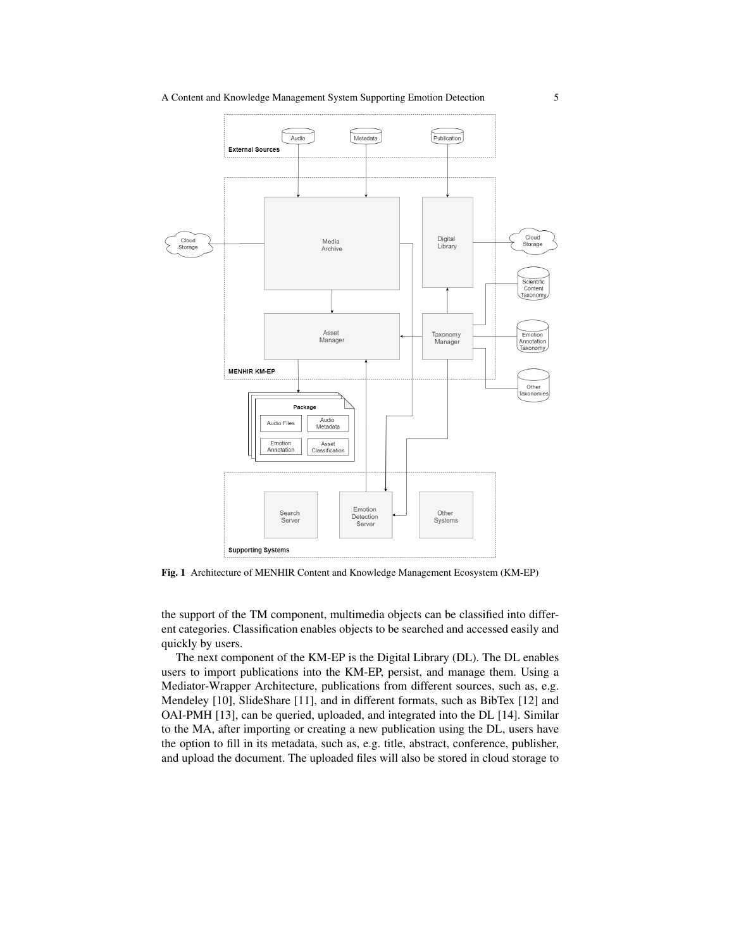

Fig. 1 Architecture of MENHIR Content and Knowledge Management Ecosystem (KM-EP)

the support of the TM component, multimedia objects can be classified into different categories. Classification enables objects to be searched and accessed easily and quickly by users.

The next component of the KM-EP is the Digital Library (DL). The DL enables users to import publications into the KM-EP, persist, and manage them. Using a Mediator-Wrapper Architecture, publications from different sources, such as, e.g. Mendeley [10], SlideShare [11], and in different formats, such as BibTex [12] and OAI-PMH [13], can be queried, uploaded, and integrated into the DL [14]. Similar to the MA, after importing or creating a new publication using the DL, users have the option to fill in its metadata, such as, e.g. title, abstract, conference, publisher, and upload the document. The uploaded files will also be stored in cloud storage to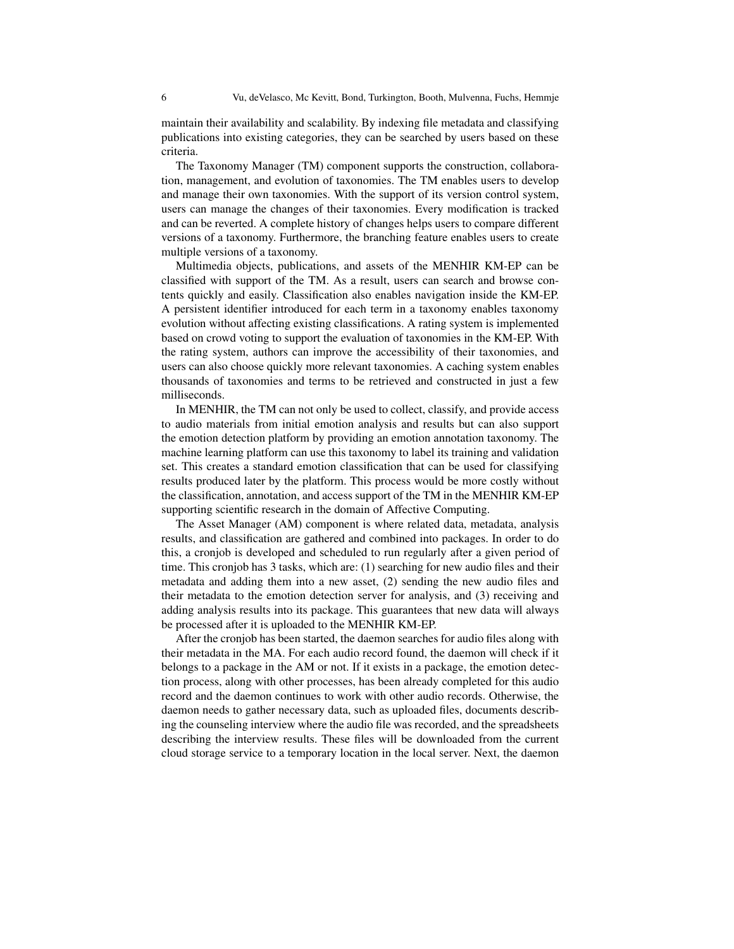maintain their availability and scalability. By indexing file metadata and classifying publications into existing categories, they can be searched by users based on these criteria.

The Taxonomy Manager (TM) component supports the construction, collaboration, management, and evolution of taxonomies. The TM enables users to develop and manage their own taxonomies. With the support of its version control system, users can manage the changes of their taxonomies. Every modification is tracked and can be reverted. A complete history of changes helps users to compare different versions of a taxonomy. Furthermore, the branching feature enables users to create multiple versions of a taxonomy.

Multimedia objects, publications, and assets of the MENHIR KM-EP can be classified with support of the TM. As a result, users can search and browse contents quickly and easily. Classification also enables navigation inside the KM-EP. A persistent identifier introduced for each term in a taxonomy enables taxonomy evolution without affecting existing classifications. A rating system is implemented based on crowd voting to support the evaluation of taxonomies in the KM-EP. With the rating system, authors can improve the accessibility of their taxonomies, and users can also choose quickly more relevant taxonomies. A caching system enables thousands of taxonomies and terms to be retrieved and constructed in just a few milliseconds.

In MENHIR, the TM can not only be used to collect, classify, and provide access to audio materials from initial emotion analysis and results but can also support the emotion detection platform by providing an emotion annotation taxonomy. The machine learning platform can use this taxonomy to label its training and validation set. This creates a standard emotion classification that can be used for classifying results produced later by the platform. This process would be more costly without the classification, annotation, and access support of the TM in the MENHIR KM-EP supporting scientific research in the domain of Affective Computing.

The Asset Manager (AM) component is where related data, metadata, analysis results, and classification are gathered and combined into packages. In order to do this, a cronjob is developed and scheduled to run regularly after a given period of time. This cronjob has 3 tasks, which are: (1) searching for new audio files and their metadata and adding them into a new asset, (2) sending the new audio files and their metadata to the emotion detection server for analysis, and (3) receiving and adding analysis results into its package. This guarantees that new data will always be processed after it is uploaded to the MENHIR KM-EP.

After the cronjob has been started, the daemon searches for audio files along with their metadata in the MA. For each audio record found, the daemon will check if it belongs to a package in the AM or not. If it exists in a package, the emotion detection process, along with other processes, has been already completed for this audio record and the daemon continues to work with other audio records. Otherwise, the daemon needs to gather necessary data, such as uploaded files, documents describing the counseling interview where the audio file was recorded, and the spreadsheets describing the interview results. These files will be downloaded from the current cloud storage service to a temporary location in the local server. Next, the daemon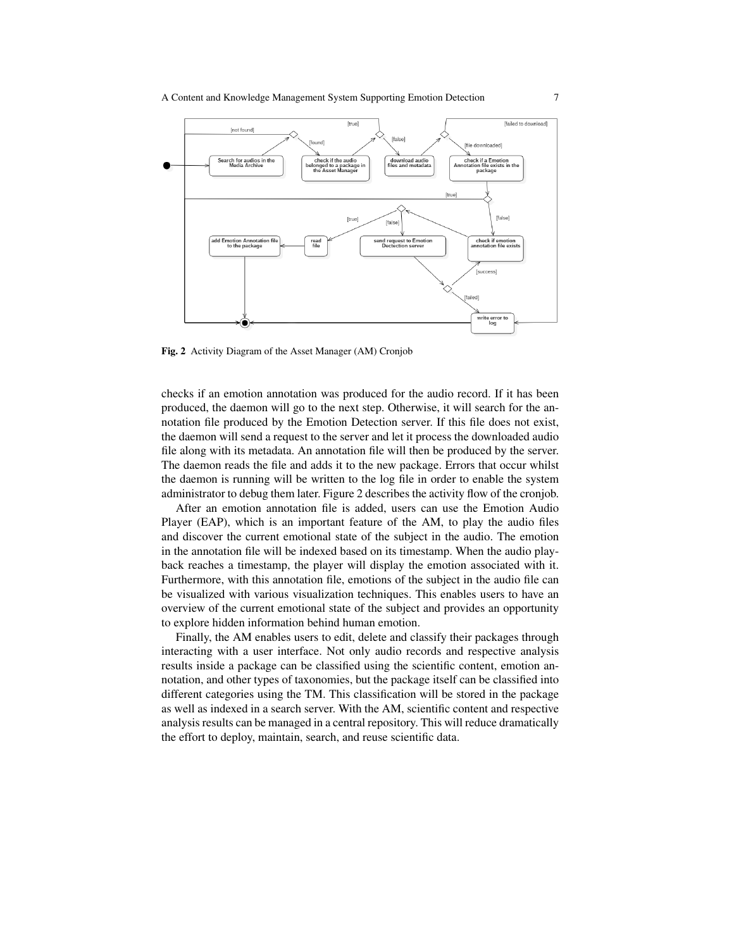

Fig. 2 Activity Diagram of the Asset Manager (AM) Cronjob

checks if an emotion annotation was produced for the audio record. If it has been produced, the daemon will go to the next step. Otherwise, it will search for the annotation file produced by the Emotion Detection server. If this file does not exist, the daemon will send a request to the server and let it process the downloaded audio file along with its metadata. An annotation file will then be produced by the server. The daemon reads the file and adds it to the new package. Errors that occur whilst the daemon is running will be written to the log file in order to enable the system administrator to debug them later. Figure 2 describes the activity flow of the cronjob.

After an emotion annotation file is added, users can use the Emotion Audio Player (EAP), which is an important feature of the AM, to play the audio files and discover the current emotional state of the subject in the audio. The emotion in the annotation file will be indexed based on its timestamp. When the audio playback reaches a timestamp, the player will display the emotion associated with it. Furthermore, with this annotation file, emotions of the subject in the audio file can be visualized with various visualization techniques. This enables users to have an overview of the current emotional state of the subject and provides an opportunity to explore hidden information behind human emotion.

Finally, the AM enables users to edit, delete and classify their packages through interacting with a user interface. Not only audio records and respective analysis results inside a package can be classified using the scientific content, emotion annotation, and other types of taxonomies, but the package itself can be classified into different categories using the TM. This classification will be stored in the package as well as indexed in a search server. With the AM, scientific content and respective analysis results can be managed in a central repository. This will reduce dramatically the effort to deploy, maintain, search, and reuse scientific data.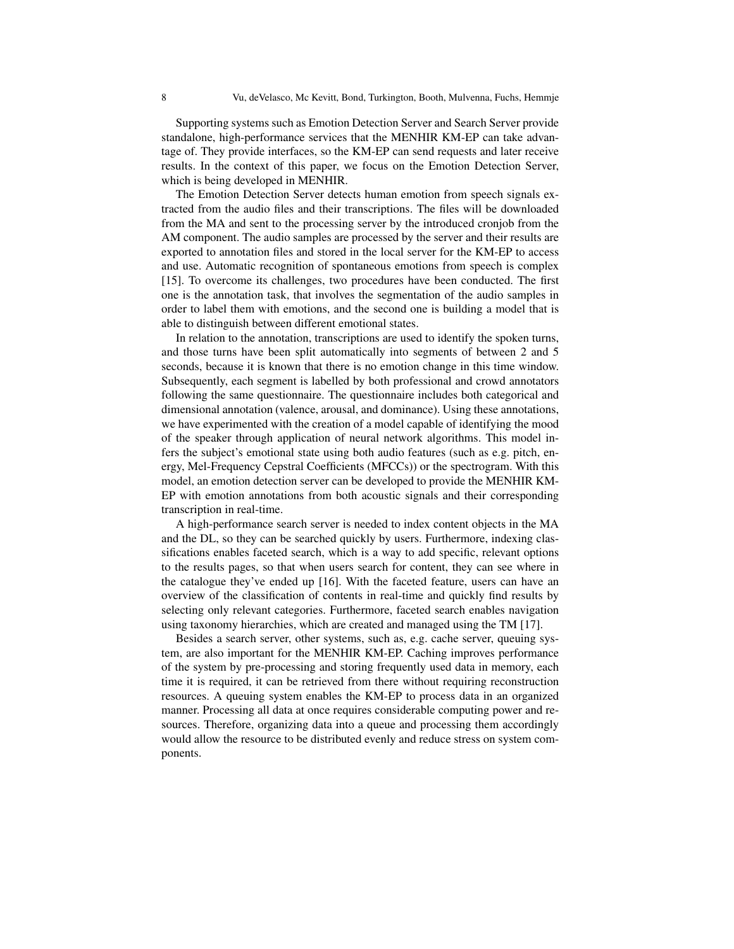Supporting systems such as Emotion Detection Server and Search Server provide standalone, high-performance services that the MENHIR KM-EP can take advantage of. They provide interfaces, so the KM-EP can send requests and later receive results. In the context of this paper, we focus on the Emotion Detection Server, which is being developed in MENHIR.

The Emotion Detection Server detects human emotion from speech signals extracted from the audio files and their transcriptions. The files will be downloaded from the MA and sent to the processing server by the introduced cronjob from the AM component. The audio samples are processed by the server and their results are exported to annotation files and stored in the local server for the KM-EP to access and use. Automatic recognition of spontaneous emotions from speech is complex [15]. To overcome its challenges, two procedures have been conducted. The first one is the annotation task, that involves the segmentation of the audio samples in order to label them with emotions, and the second one is building a model that is able to distinguish between different emotional states.

In relation to the annotation, transcriptions are used to identify the spoken turns, and those turns have been split automatically into segments of between 2 and 5 seconds, because it is known that there is no emotion change in this time window. Subsequently, each segment is labelled by both professional and crowd annotators following the same questionnaire. The questionnaire includes both categorical and dimensional annotation (valence, arousal, and dominance). Using these annotations, we have experimented with the creation of a model capable of identifying the mood of the speaker through application of neural network algorithms. This model infers the subject's emotional state using both audio features (such as e.g. pitch, energy, Mel-Frequency Cepstral Coefficients (MFCCs)) or the spectrogram. With this model, an emotion detection server can be developed to provide the MENHIR KM-EP with emotion annotations from both acoustic signals and their corresponding transcription in real-time.

A high-performance search server is needed to index content objects in the MA and the DL, so they can be searched quickly by users. Furthermore, indexing classifications enables faceted search, which is a way to add specific, relevant options to the results pages, so that when users search for content, they can see where in the catalogue they've ended up [16]. With the faceted feature, users can have an overview of the classification of contents in real-time and quickly find results by selecting only relevant categories. Furthermore, faceted search enables navigation using taxonomy hierarchies, which are created and managed using the TM [17].

Besides a search server, other systems, such as, e.g. cache server, queuing system, are also important for the MENHIR KM-EP. Caching improves performance of the system by pre-processing and storing frequently used data in memory, each time it is required, it can be retrieved from there without requiring reconstruction resources. A queuing system enables the KM-EP to process data in an organized manner. Processing all data at once requires considerable computing power and resources. Therefore, organizing data into a queue and processing them accordingly would allow the resource to be distributed evenly and reduce stress on system components.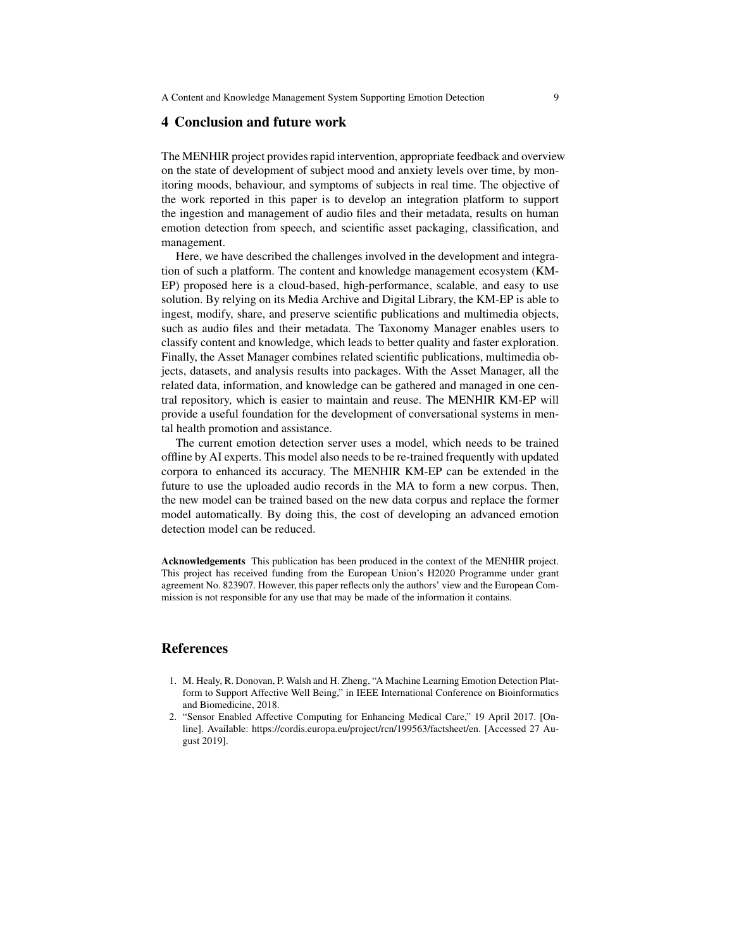A Content and Knowledge Management System Supporting Emotion Detection 9

#### 4 Conclusion and future work

The MENHIR project provides rapid intervention, appropriate feedback and overview on the state of development of subject mood and anxiety levels over time, by monitoring moods, behaviour, and symptoms of subjects in real time. The objective of the work reported in this paper is to develop an integration platform to support the ingestion and management of audio files and their metadata, results on human emotion detection from speech, and scientific asset packaging, classification, and management.

Here, we have described the challenges involved in the development and integration of such a platform. The content and knowledge management ecosystem (KM-EP) proposed here is a cloud-based, high-performance, scalable, and easy to use solution. By relying on its Media Archive and Digital Library, the KM-EP is able to ingest, modify, share, and preserve scientific publications and multimedia objects, such as audio files and their metadata. The Taxonomy Manager enables users to classify content and knowledge, which leads to better quality and faster exploration. Finally, the Asset Manager combines related scientific publications, multimedia objects, datasets, and analysis results into packages. With the Asset Manager, all the related data, information, and knowledge can be gathered and managed in one central repository, which is easier to maintain and reuse. The MENHIR KM-EP will provide a useful foundation for the development of conversational systems in mental health promotion and assistance.

The current emotion detection server uses a model, which needs to be trained offline by AI experts. This model also needs to be re-trained frequently with updated corpora to enhanced its accuracy. The MENHIR KM-EP can be extended in the future to use the uploaded audio records in the MA to form a new corpus. Then, the new model can be trained based on the new data corpus and replace the former model automatically. By doing this, the cost of developing an advanced emotion detection model can be reduced.

Acknowledgements This publication has been produced in the context of the MENHIR project. This project has received funding from the European Union's H2020 Programme under grant agreement No. 823907. However, this paper reflects only the authors' view and the European Commission is not responsible for any use that may be made of the information it contains.

### **References**

- 1. M. Healy, R. Donovan, P. Walsh and H. Zheng, "A Machine Learning Emotion Detection Platform to Support Affective Well Being," in IEEE International Conference on Bioinformatics and Biomedicine, 2018.
- 2. "Sensor Enabled Affective Computing for Enhancing Medical Care," 19 April 2017. [Online]. Available: https://cordis.europa.eu/project/rcn/199563/factsheet/en. [Accessed 27 August 2019].